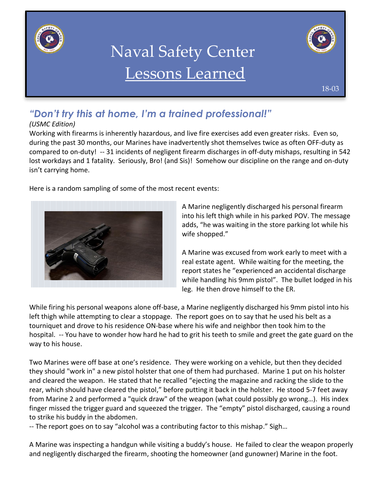

# Naval Safety Center Lessons Learned



# *"Don't try this at home, I'm a trained professional!"*

## *(USMC Edition)*

Working with firearms is inherently hazardous, and live fire exercises add even greater risks. Even so, during the past 30 months, our Marines have inadvertently shot themselves twice as often OFF-duty as compared to on-duty! -- 31 incidents of negligent firearm discharges in off-duty mishaps, resulting in 542 lost workdays and 1 fatality. Seriously, Bro! (and Sis)! Somehow our discipline on the range and on-duty isn't carrying home.

Here is a random sampling of some of the most recent events:



A Marine negligently discharged his personal firearm into his left thigh while in his parked POV. The message adds, "he was waiting in the store parking lot while his wife shopped."

A Marine was excused from work early to meet with a real estate agent. While waiting for the meeting, the report states he "experienced an accidental discharge while handling his 9mm pistol". The bullet lodged in his leg. He then drove himself to the ER.

While firing his personal weapons alone off-base, a Marine negligently discharged his 9mm pistol into his left thigh while attempting to clear a stoppage. The report goes on to say that he used his belt as a tourniquet and drove to his residence ON-base where his wife and neighbor then took him to the hospital. -- You have to wonder how hard he had to grit his teeth to smile and greet the gate guard on the way to his house.

Two Marines were off base at one's residence. They were working on a vehicle, but then they decided they should "work in" a new pistol holster that one of them had purchased. Marine 1 put on his holster and cleared the weapon. He stated that he recalled "ejecting the magazine and racking the slide to the rear, which should have cleared the pistol," before putting it back in the holster. He stood 5-7 feet away from Marine 2 and performed a "quick draw" of the weapon (what could possibly go wrong…). His index finger missed the trigger guard and squeezed the trigger. The "empty" pistol discharged, causing a round to strike his buddy in the abdomen.

-- The report goes on to say "alcohol was a contributing factor to this mishap." Sigh…

A Marine was inspecting a handgun while visiting a buddy's house. He failed to clear the weapon properly and negligently discharged the firearm, shooting the homeowner (and gunowner) Marine in the foot.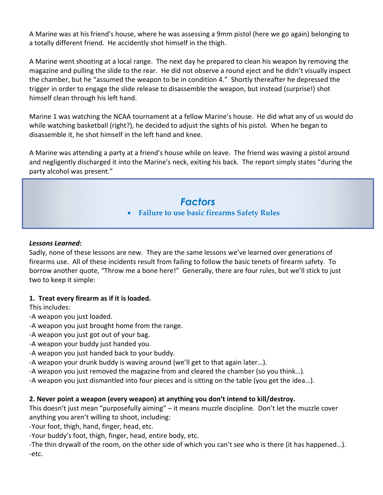A Marine was at his friend's house, where he was assessing a 9mm pistol (here we go again) belonging to a totally different friend. He accidently shot himself in the thigh.

A Marine went shooting at a local range. The next day he prepared to clean his weapon by removing the magazine and pulling the slide to the rear. He did not observe a round eject and he didn't visually inspect the chamber, but he "assumed the weapon to be in condition 4." Shortly thereafter he depressed the trigger in order to engage the slide release to disassemble the weapon, but instead (surprise!) shot himself clean through his left hand.

Marine 1 was watching the NCAA tournament at a fellow Marine's house. He did what any of us would do while watching basketball (right?), he decided to adjust the sights of his pistol. When he began to disassemble it, he shot himself in the left hand and knee.

A Marine was attending a party at a friend's house while on leave. The friend was waving a pistol around and negligently discharged it into the Marine's neck, exiting his back. The report simply states "during the party alcohol was present."

> *Factors* **Failure to use basic firearms Safety Rules**

#### *Lessons Learned:*

Sadly, none of these lessons are new. They are the same lessons we've learned over generations of firearms use. All of these incidents result from failing to follow the basic tenets of firearm safety. To borrow another quote, "Throw me a bone here!" Generally, there are four rules, but we'll stick to just two to keep it simple:

#### **1. Treat every firearm as if it is loaded.**

This includes:

- -A weapon you just loaded.
- -A weapon you just brought home from the range.
- -A weapon you just got out of your bag.
- -A weapon your buddy just handed you.
- -A weapon you just handed back to your buddy.
- -A weapon your drunk buddy is waving around (we'll get to that again later…).
- -A weapon you just removed the magazine from and cleared the chamber (so you think…).
- -A weapon you just dismantled into four pieces and is sitting on the table (you get the idea…).

#### **2. Never point a weapon (every weapon) at anything you don't intend to kill/destroy.**

This doesn't just mean "purposefully aiming" – it means muzzle discipline. Don't let the muzzle cover anything you aren't willing to shoot, including:

-Your foot, thigh, hand, finger, head, etc.

-Your buddy's foot, thigh, finger, head, entire body, etc.

-The thin drywall of the room, on the other side of which you can't see who is there (it has happened…). -etc.